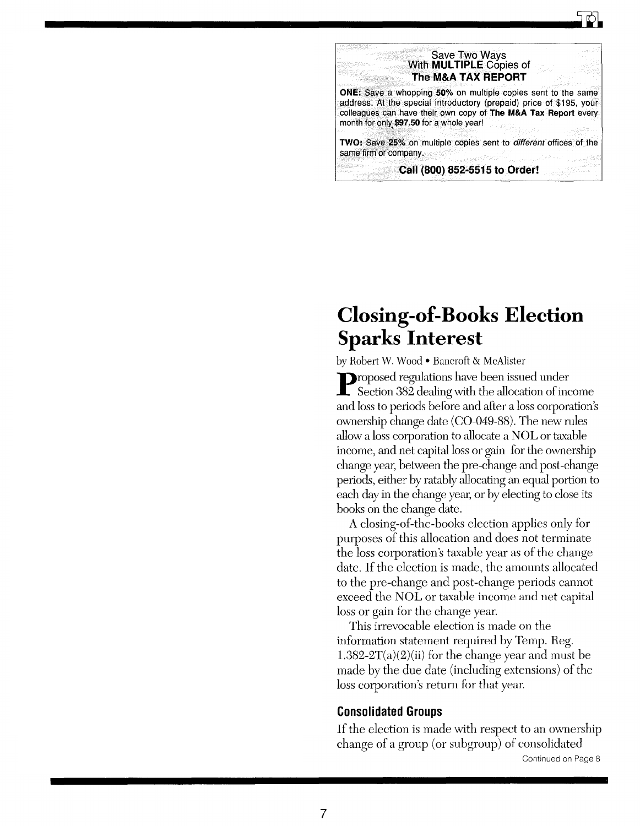



# Closing-of-Books Election Sparks Interest

by Robert W. Wood . Bancroft & McAlister

Proposed regulations have been issued under Section 382 dealing with the allocation of income and loss to periods before and after a loss corporation's ownership change date (CO-049-88). The new rules allow a loss corporation to allocate a NOL or taxable income, and net capital loss or gain for the ownership change year, between the pre-change and post-change periods, either by ratably allocating an equal portion to each day in the change year, or by electing to close its books on the change date.

A closing-of-the-books election applies only for purposes of this allocation and does not terminate the loss corporation's taxable year as of the change date. If the election is made, the amounts allocated to the pre-change and post -change periods cannot exceed the NOL or taxable income and net capital loss or gain for the change year.

This irrevocable election is made on the information statement required by Temp. Reg. 1.382-2T(a)(2)(ii) for the change year and must be made by the due date (including extensions) of the loss corporation's return for that year.

## Consolidated Groups

If the election is made with respect to an ownership change of a group (or subgroup) of consolidated Continued on Page 8